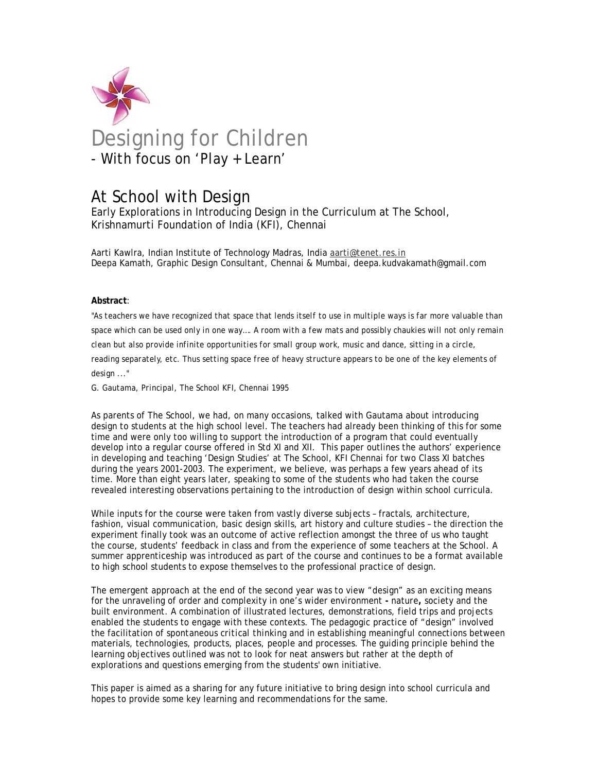

# At School with Design

Early Explorations in Introducing Design in the Curriculum at The School, Krishnamurti Foundation of India (KFI), Chennai

Aarti Kawlra, Indian Institute of Technology Madras, India aarti@tenet.res.in Deepa Kamath, Graphic Design Consultant, Chennai & Mumbai, deepa.kudvakamath@gmail.com

### **Abstract**:

*"As teachers we have recognized that space that lends itself to use in multiple ways is far more valuable than space which can be used only in one way…. A room with a few mats and possibly chaukies will not only remain clean but also provide infinite opportunities for small group work, music and dance, sitting in a circle,*  reading separately, etc. Thus setting space free of heavy structure appears to be one of the key elements of *design ..."* 

*G. Gautama, Principal, The School KFI, Chennai 1995* 

As parents of The School, we had, on many occasions, talked with Gautama about introducing design to students at the high school level. The teachers had already been thinking of this for some time and were only too willing to support the introduction of a program that could eventually develop into a regular course offered in Std XI and XII. This paper outlines the authors' experience in developing and teaching 'Design Studies' at The School, KFI Chennai for two Class XI batches during the years 2001-2003. The experiment, we believe, was perhaps a few years ahead of its time. More than eight years later, speaking to some of the students who had taken the course revealed interesting observations pertaining to the introduction of design within school curricula.

While inputs for the course were taken from vastly diverse subjects – fractals, architecture, fashion, visual communication, basic design skills, art history and culture studies – the direction the experiment finally took was an outcome of active reflection amongst the three of us who taught the course, students' feedback in class and from the experience of some teachers at the School. A summer apprenticeship was introduced as part of the course and continues to be a format available to high school students to expose themselves to the professional practice of design.

The emergent approach at the end of the second year was to view "design" as an exciting means for the unraveling of order and complexity in one's wider environment **-** nature**,** society and the built environment. A combination of illustrated lectures, demonstrations, field trips and projects enabled the students to engage with these contexts. The pedagogic practice of "design" involved the facilitation of *spontaneous critical thinking* and in establishing *meaningful connections* between materials, technologies, products, places, people and processes. The guiding principle behind the learning objectives outlined was not to look for neat answers but rather at the depth of explorations and questions emerging from the students' own initiative.

This paper is aimed as a sharing for any future initiative to bring design into school curricula and hopes to provide some key learning and recommendations for the same.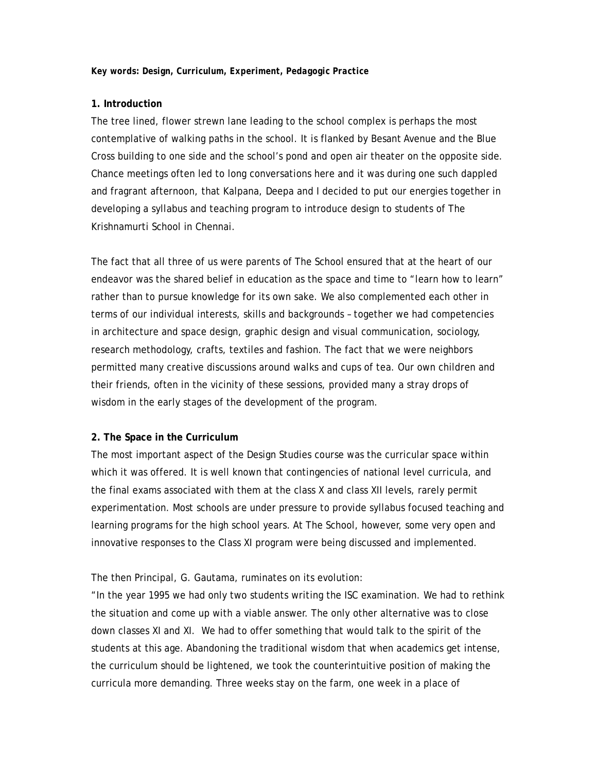### **1. Introduction**

The tree lined, flower strewn lane leading to the school complex is perhaps the most contemplative of walking paths in the school. It is flanked by Besant Avenue and the Blue Cross building to one side and the school's pond and open air theater on the opposite side. Chance meetings often led to long conversations here and it was during one such dappled and fragrant afternoon, that Kalpana, Deepa and I decided to put our energies together in developing a syllabus and teaching program to introduce design to students of The Krishnamurti School in Chennai.

The fact that all three of us were parents of The School ensured that at the heart of our endeavor was the shared belief in education as the space and time to "learn how to learn" rather than to pursue knowledge for its own sake. We also complemented each other in terms of our individual interests, skills and backgrounds – together we had competencies in architecture and space design, graphic design and visual communication, sociology, research methodology, crafts, textiles and fashion. The fact that we were neighbors permitted many creative discussions around walks and cups of tea. Our own children and their friends, often in the vicinity of these sessions, provided many a stray drops of wisdom in the early stages of the development of the program.

#### **2. The Space in the Curriculum**

The most important aspect of the Design Studies course was the curricular space within which it was offered. It is well known that contingencies of national level curricula, and the final exams associated with them at the class X and class XII levels, rarely permit experimentation. Most schools are under pressure to provide syllabus focused teaching and learning programs for the high school years. At The School, however, some very open and innovative responses to the Class XI program were being discussed and implemented.

### The then Principal, G. Gautama, ruminates on its evolution:

"In the year 1995 we had only two students writing the ISC examination. We had to rethink the situation and come up with a viable answer. The only other alternative was to close down classes XI and XI. We had to offer something that would talk to the spirit of the students at this age. Abandoning the traditional wisdom that when academics get intense, the curriculum should be lightened, we took the counterintuitive position of making the curricula more demanding. Three weeks stay on the farm, one week in a place of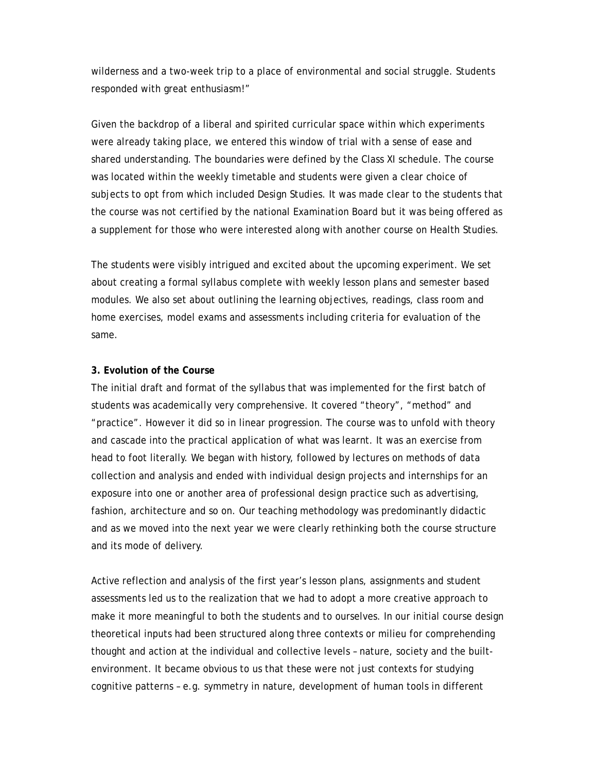wilderness and a two-week trip to a place of environmental and social struggle. Students responded with great enthusiasm!"

Given the backdrop of a liberal and spirited curricular space within which experiments were already taking place, we entered this window of trial with a sense of ease and shared understanding. The boundaries were defined by the Class XI schedule. The course was located within the weekly timetable and students were given a clear choice of subjects to opt from which included Design Studies. It was made clear to the students that the course was not certified by the national Examination Board but it was being offered as a supplement for those who were interested along with another course on Health Studies.

The students were visibly intrigued and excited about the upcoming experiment. We set about creating a formal syllabus complete with weekly lesson plans and semester based modules. We also set about outlining the learning objectives, readings, class room and home exercises, model exams and assessments including criteria for evaluation of the same.

### **3. Evolution of the Course**

The initial draft and format of the syllabus that was implemented for the first batch of students was academically very comprehensive. It covered "theory", "method" and "practice". However it did so in linear progression. The course was to unfold with theory and cascade into the practical application of what was learnt. It was an exercise from head to foot literally. We began with history, followed by lectures on methods of data collection and analysis and ended with individual design projects and internships for an exposure into one or another area of professional design practice such as advertising, fashion, architecture and so on. Our teaching methodology was predominantly didactic and as we moved into the next year we were clearly rethinking both the course structure and its mode of delivery.

Active reflection and analysis of the first year's lesson plans, assignments and student assessments led us to the realization that we had to adopt a more creative approach to make it more meaningful to both the students and to ourselves. In our initial course design theoretical inputs had been structured along three contexts or milieu for comprehending thought and action at the individual and collective levels – nature, society and the builtenvironment. It became obvious to us that these were not just contexts for studying cognitive patterns – e.g. symmetry in nature, development of human tools in different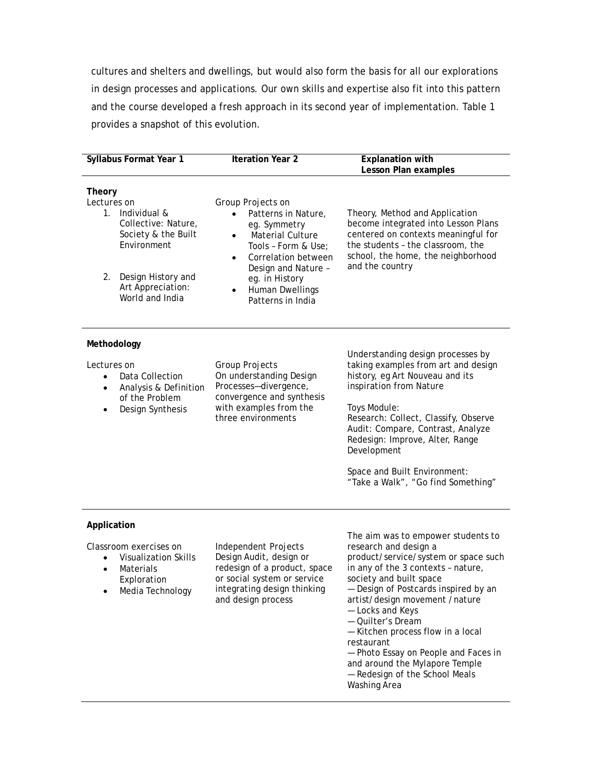cultures and shelters and dwellings, but would also form the basis for all our explorations in design processes and applications. Our own skills and expertise also fit into this pattern and the course developed a fresh approach in its second year of implementation. Table 1 provides a snapshot of this evolution.

|                                                                                                                                                                           | <b>Iteration Year 2</b>                                                                                                                                                                                                                                                |                                                                                                                                                                                                                                                                                                                                                                                                                                                                        |
|---------------------------------------------------------------------------------------------------------------------------------------------------------------------------|------------------------------------------------------------------------------------------------------------------------------------------------------------------------------------------------------------------------------------------------------------------------|------------------------------------------------------------------------------------------------------------------------------------------------------------------------------------------------------------------------------------------------------------------------------------------------------------------------------------------------------------------------------------------------------------------------------------------------------------------------|
| Syllabus Format Year 1                                                                                                                                                    |                                                                                                                                                                                                                                                                        | <b>Explanation with</b><br>Lesson Plan examples                                                                                                                                                                                                                                                                                                                                                                                                                        |
| Theory<br>Lectures on<br>1. Individual &<br>Collective: Nature,<br>Society & the Built<br>Environment<br>Design History and<br>2.<br>Art Appreciation:<br>World and India | Group Projects on<br>Patterns in Nature,<br>$\bullet$<br>eg. Symmetry<br>Material Culture<br>$\bullet$<br>Tools - Form & Use;<br>Correlation between<br>$\bullet$<br>Design and Nature -<br>eg. in History<br><b>Human Dwellings</b><br>$\bullet$<br>Patterns in India | Theory, Method and Application<br>become integrated into Lesson Plans<br>centered on contexts meaningful for<br>the students - the classroom, the<br>school, the home, the neighborhood<br>and the country                                                                                                                                                                                                                                                             |
| Methodology<br>Lectures on<br>Data Collection<br>Analysis & Definition<br>of the Problem<br>Design Synthesis<br>$\bullet$                                                 | Group Projects<br>On understanding Design<br>Processes-divergence,<br>convergence and synthesis<br>with examples from the<br>three environments                                                                                                                        | Understanding design processes by<br>taking examples from art and design<br>history, eg Art Nouveau and its<br>inspiration from Nature<br>Toys Module:<br>Research: Collect, Classify, Observe<br>Audit: Compare, Contrast, Analyze<br>Redesign: Improve, Alter, Range<br>Development<br>Space and Built Environment:<br>"Take a Walk", "Go find Something"                                                                                                            |
| Application<br>Classroom exercises on<br><b>Visualization Skills</b><br>Materials<br>Exploration<br>Media Technology                                                      | Independent Projects<br>Design Audit, design or<br>redesign of a product, space<br>or social system or service<br>integrating design thinking<br>and design process                                                                                                    | The aim was to empower students to<br>research and design a<br>product/service/system or space such<br>in any of the 3 contexts - nature,<br>society and built space<br>- Design of Postcards inspired by an<br>artist/design movement /nature<br>- Locks and Keys<br>- Quilter's Dream<br>- Kitchen process flow in a local<br>restaurant<br>- Photo Essay on People and Faces in<br>and around the Mylapore Temple<br>- Redesign of the School Meals<br>Washing Area |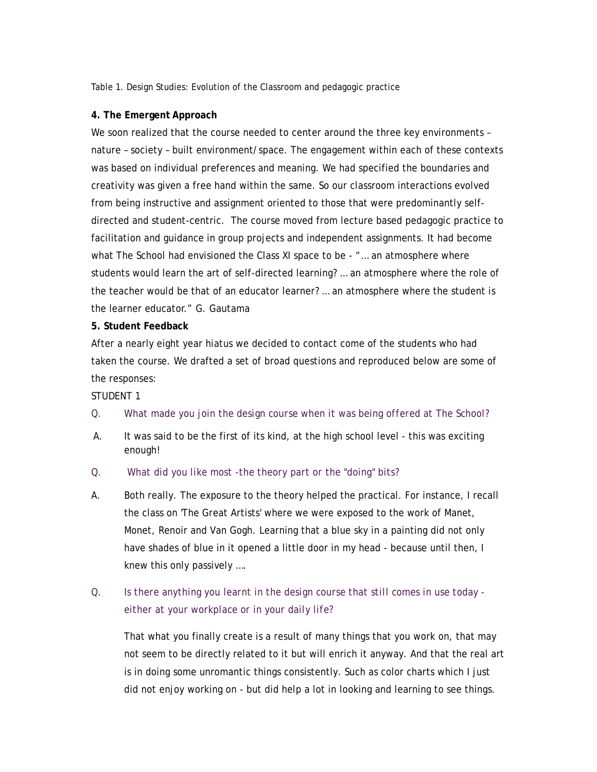Table 1. Design Studies: Evolution of the Classroom and pedagogic practice

### **4. The Emergent Approach**

We soon realized that the course needed to center around the three key environments – nature – society – built environment/space. The engagement within each of these contexts was based on individual preferences and meaning. We had specified the boundaries and creativity was given a free hand within the same. So our classroom interactions evolved from being instructive and assignment oriented to those that were predominantly selfdirected and student-centric. The course moved from lecture based pedagogic practice to facilitation and guidance in group projects and independent assignments. It had become what The School had envisioned the Class XI space to be - "... an atmosphere where students would learn the art of self-directed learning? … an atmosphere where the role of the teacher would be that of an educator learner? … an atmosphere where the student is the learner educator." G. Gautama

### **5. Student Feedback**

After a nearly eight year hiatus we decided to contact come of the students who had taken the course. We drafted a set of broad questions and reproduced below are some of the responses:

### STUDENT 1

- *Q. What made you join the design course when it was being offered at The School?*
- A. It was said to be the first of its kind, at the high school level this was exciting enough!
- Q. *What did you like most -the theory part or the "doing" bits?*
- A. Both really. The exposure to the theory helped the practical. For instance, I recall the class on 'The Great Artists' where we were exposed to the work of Manet, Monet, Renoir and Van Gogh. Learning that a blue sky in a painting did not only have shades of blue in it opened a little door in my head - because until then, I knew this only passively ….

# Q. *Is there anything you learnt in the design course that still comes in use today either at your workplace or in your daily life?*

That what you finally create is a result of many things that you work on, that may not seem to be directly related to it but will enrich it anyway. And that the real art is in doing some unromantic things consistently. Such as color charts which I just did not enjoy working on - but did help a lot in looking and learning to see things.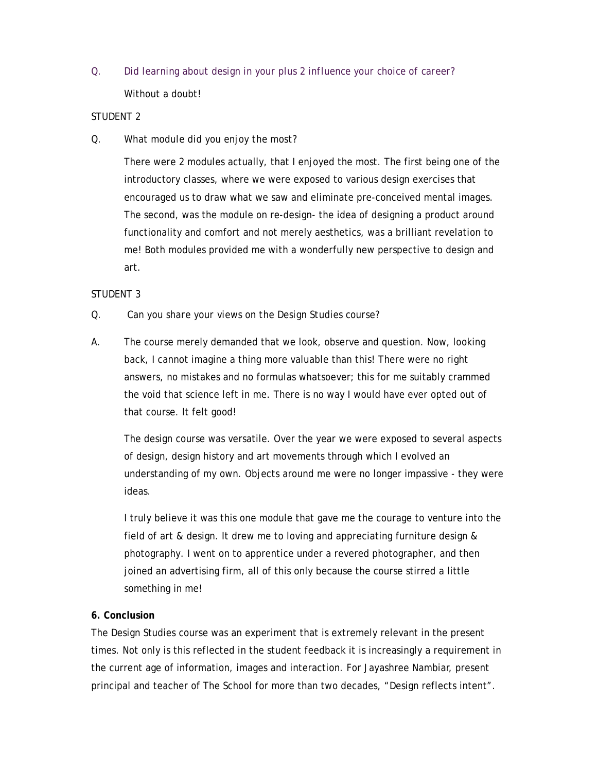Q. *Did learning about design in your plus 2 influence your choice of career?*  Without a doubt!

## STUDENT 2

# *Q. What module did you enjoy the most?*

There were 2 modules actually, that I enjoyed the most. The first being one of the introductory classes, where we were exposed to various design exercises that encouraged us to draw what we saw and eliminate pre-conceived mental images. The second, was the module on re-design- the idea of designing a product around functionality and comfort and not merely aesthetics, was a brilliant revelation to me! Both modules provided me with a wonderfully new perspective to design and art.

# STUDENT 3

## Q. *Can you share your views on the Design Studies course?*

A. The course merely demanded that we look, observe and question. Now, looking back, I cannot imagine a thing more valuable than this! There were no right answers, no mistakes and no formulas whatsoever; this for me suitably crammed the void that science left in me. There is no way I would have ever opted out of that course. It felt good!

The design course was versatile. Over the year we were exposed to several aspects of design, design history and art movements through which I evolved an understanding of my own. Objects around me were no longer impassive - they were ideas.

I truly believe it was this one module that gave me the courage to venture into the field of art & design. It drew me to loving and appreciating furniture design & photography. I went on to apprentice under a revered photographer, and then joined an advertising firm, all of this only because the course stirred a little something in me!

### **6. Conclusion**

The Design Studies course was an experiment that is extremely relevant in the present times. Not only is this reflected in the student feedback it is increasingly a requirement in the current age of information, images and interaction. For Jayashree Nambiar, present principal and teacher of The School for more than two decades, "Design reflects intent".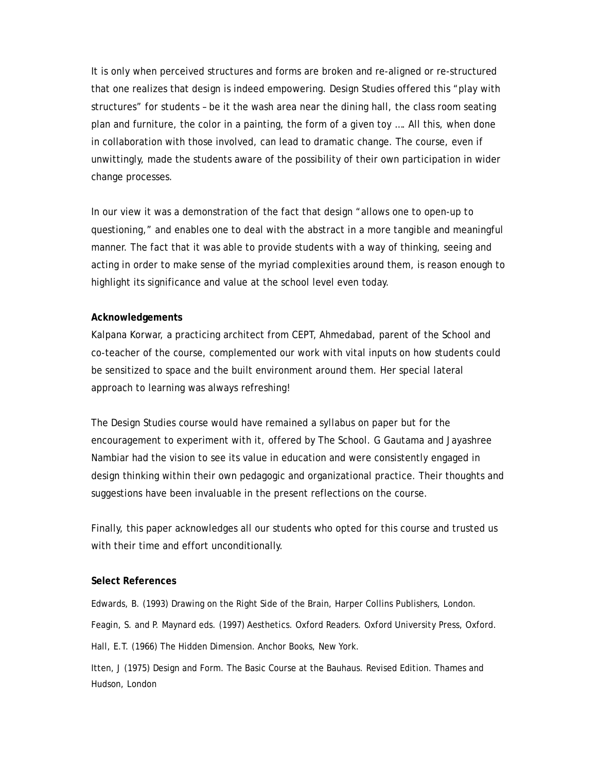It is only when perceived structures and forms are broken and re-aligned or re-structured that one realizes that design is indeed empowering. Design Studies offered this "play with structures" for students – be it the wash area near the dining hall, the class room seating plan and furniture, the color in a painting, the form of a given toy …. All this, when done in collaboration with those involved, can lead to dramatic change. The course, even if unwittingly, made the students aware of the possibility of their own participation in wider change processes.

In our view it was a demonstration of the fact that design "allows one to open-up to questioning," and enables one to deal with the abstract in a more tangible and meaningful manner. The fact that it was able to provide students with a way of thinking, seeing and acting in order to make sense of the myriad complexities around them, is reason enough to highlight its significance and value at the school level even today.

### **Acknowledgements**

Kalpana Korwar, a practicing architect from CEPT, Ahmedabad, parent of the School and co-teacher of the course, complemented our work with vital inputs on how students could be sensitized to space and the built environment around them. Her special lateral approach to learning was always refreshing!

The Design Studies course would have remained a syllabus on paper but for the encouragement to experiment with it, offered by The School. G Gautama and Jayashree Nambiar had the vision to see its value in education and were consistently engaged in design thinking within their own pedagogic and organizational practice. Their thoughts and suggestions have been invaluable in the present reflections on the course.

Finally, this paper acknowledges all our students who opted for this course and trusted us with their time and effort unconditionally.

### **Select References**

Edwards, B. (1993) Drawing on the Right Side of the Brain, Harper Collins Publishers, London. Feagin, S. and P. Maynard eds. (1997) Aesthetics. Oxford Readers. Oxford University Press, Oxford. Hall, E.T. (1966) The Hidden Dimension. Anchor Books, New York.

Itten, J (1975) Design and Form. The Basic Course at the Bauhaus. Revised Edition. Thames and Hudson, London